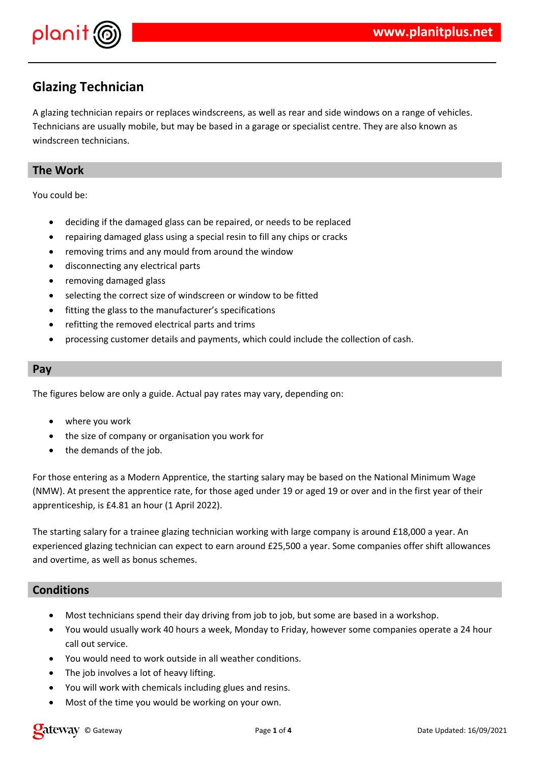

## **Glazing Technician**

A glazing technician repairs or replaces windscreens, as well as rear and side windows on a range of vehicles. Technicians are usually mobile, but may be based in a garage or specialist centre. They are also known as windscreen technicians.

## **The Work**

You could be:

- deciding if the damaged glass can be repaired, or needs to be replaced
- repairing damaged glass using a special resin to fill any chips or cracks
- removing trims and any mould from around the window
- disconnecting any electrical parts
- removing damaged glass
- selecting the correct size of windscreen or window to be fitted
- fitting the glass to the manufacturer's specifications
- refitting the removed electrical parts and trims
- processing customer details and payments, which could include the collection of cash.

#### **Pay**

The figures below are only a guide. Actual pay rates may vary, depending on:

- where you work
- the size of company or organisation you work for
- the demands of the job.

For those entering as a Modern Apprentice, the starting salary may be based on the National Minimum Wage (NMW). At present the apprentice rate, for those aged under 19 or aged 19 or over and in the first year of their apprenticeship, is £4.81 an hour (1 April 2022).

The starting salary for a trainee glazing technician working with large company is around £18,000 a year. An experienced glazing technician can expect to earn around £25,500 a year. Some companies offer shift allowances and overtime, as well as bonus schemes.

### **Conditions**

- Most technicians spend their day driving from job to job, but some are based in a workshop.
- You would usually work 40 hours a week, Monday to Friday, however some companies operate a 24 hour call out service.
- You would need to work outside in all weather conditions.
- The job involves a lot of heavy lifting.
- You will work with chemicals including glues and resins.
- Most of the time you would be working on your own.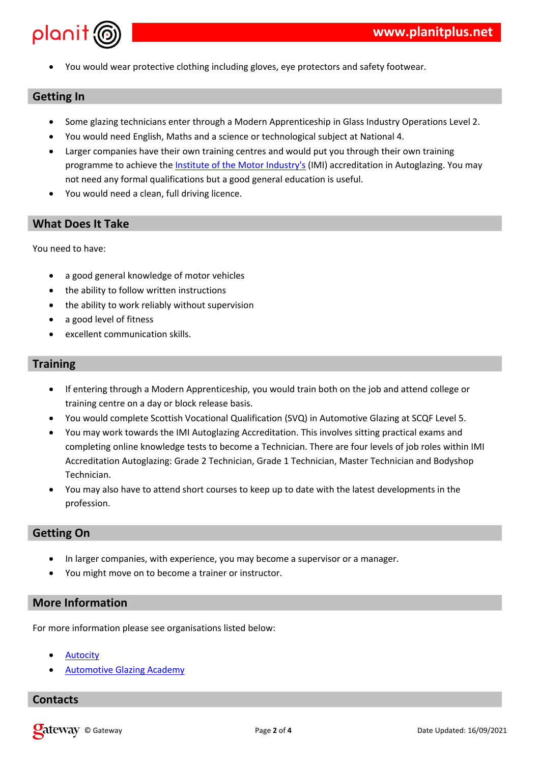$( \begin{array}{cccccccccccccc} \text{\textbf{\texttt{S}}} & \text{\textbf{\texttt{S}}} & \text{\textbf{\texttt{S}}} & \text{\textbf{\texttt{S}}} & \text{\textbf{\texttt{S}}} & \text{\textbf{\texttt{S}}} & \text{\textbf{\texttt{S}}} & \text{\textbf{\texttt{S}}} & \text{\textbf{\texttt{S}}} & \text{\textbf{\texttt{S}}} & \text{\textbf{\texttt{S}}} & \text{\textbf{\texttt{S}}} & \text{\textbf{\texttt{S}}} & \text{\textbf{\texttt{S}}} & \text{\textbf{\texttt{S}}} & \text{\textbf{\texttt{S}}} & \text{\textbf{\texttt{S}}} & \text{\textbf$ 



 $\bar{\mathbf{u}}$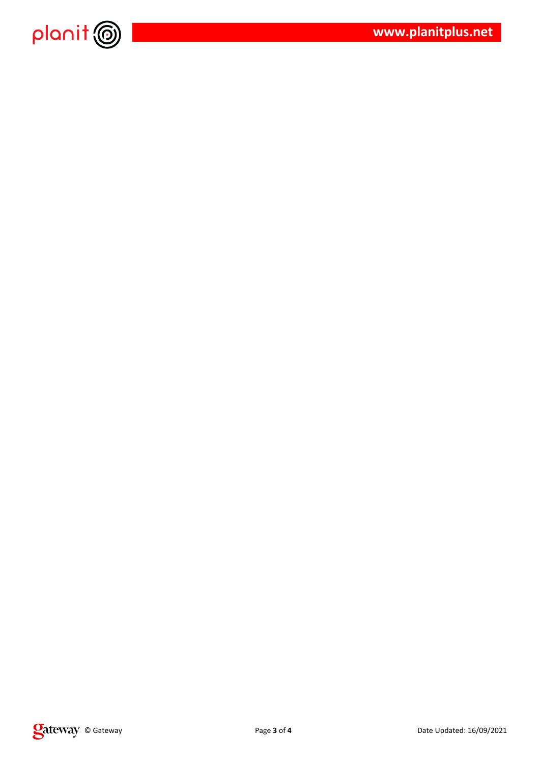